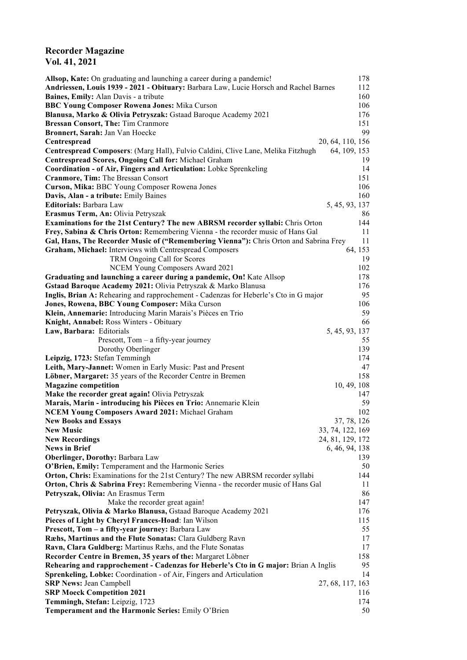## **Recorder Magazine Vol. 41, 2021**

| Allsop, Kate: On graduating and launching a career during a pandemic!                                              | 178              |
|--------------------------------------------------------------------------------------------------------------------|------------------|
| Andriessen, Louis 1939 - 2021 - Obituary: Barbara Law, Lucie Horsch and Rachel Barnes                              | 112              |
| Baines, Emily: Alan Davis - a tribute                                                                              | 160              |
| <b>BBC Young Composer Rowena Jones: Mika Curson</b>                                                                | 106              |
| Blanusa, Marko & Olivia Petryszak: Gstaad Baroque Academy 2021                                                     | 176              |
| Bressan Consort, The: Tim Cranmore                                                                                 | 151              |
| Bronnert, Sarah: Jan Van Hoecke                                                                                    | 99               |
| Centrespread                                                                                                       | 20, 64, 110, 156 |
| Centrespread Composers: (Marg Hall), Fulvio Caldini, Clive Lane, Melika Fitzhugh                                   | 64, 109, 153     |
| Centrespread Scores, Ongoing Call for: Michael Graham                                                              | 19               |
| Coordination - of Air, Fingers and Articulation: Lobke Sprenkeling<br>Cranmore, Tim: The Bressan Consort           | 14<br>151        |
| Curson, Mika: BBC Young Composer Rowena Jones                                                                      | 106              |
| Davis, Alan - a tribute: Emily Baines                                                                              | 160              |
| <b>Editorials: Barbara Law</b>                                                                                     | 5, 45, 93, 137   |
| Erasmus Term, An: Olivia Petryszak                                                                                 | 86               |
| <b>Examinations for the 21st Century? The new ABRSM recorder syllabi:</b> Chris Orton                              | 144              |
| Frey, Sabina & Chris Orton: Remembering Vienna - the recorder music of Hans Gal                                    | 11               |
| Gal, Hans, The Recorder Music of ("Remembering Vienna"): Chris Orton and Sabrina Frey                              | 11               |
| Graham, Michael: Interviews with Centrespread Composers                                                            | 64, 153          |
| TRM Ongoing Call for Scores                                                                                        | 19               |
| NCEM Young Composers Award 2021                                                                                    | 102              |
| Graduating and launching a career during a pandemic, On! Kate Allsop                                               | 178              |
| Gstaad Baroque Academy 2021: Olivia Petryszak & Marko Blanusa                                                      | 176              |
| Inglis, Brian A: Rehearing and rapprochement - Cadenzas for Heberle's Cto in G major                               | 95               |
| Jones, Rowena, BBC Young Composer: Mika Curson                                                                     | 106              |
| Klein, Annemarie: Introducing Marin Marais's Pièces en Trio                                                        | 59               |
| Knight, Annabel: Ross Winters - Obituary                                                                           | 66               |
| Law, Barbara: Editorials                                                                                           | 5, 45, 93, 137   |
| Prescott, $Tom - a$ fifty-year journey                                                                             | 55               |
| Dorothy Oberlinger                                                                                                 | 139              |
| Leipzig, 1723: Stefan Temmingh                                                                                     | 174              |
| Leith, Mary-Jannet: Women in Early Music: Past and Present                                                         | 47               |
| Löbner, Margaret: 35 years of the Recorder Centre in Bremen                                                        | 158              |
| <b>Magazine competition</b>                                                                                        | 10, 49, 108      |
| Make the recorder great again! Olivia Petryszak                                                                    | 147              |
| Marais, Marin - introducing his Pièces en Trio: Annemarie Klein<br>NCEM Young Composers Award 2021: Michael Graham | 59<br>102        |
| <b>New Books and Essays</b>                                                                                        | 37, 78, 126      |
| <b>New Music</b>                                                                                                   | 33, 74, 122, 169 |
| <b>New Recordings</b>                                                                                              | 24, 81, 129, 172 |
| <b>News in Brief</b>                                                                                               | 6, 46, 94, 138   |
| <b>Oberlinger, Dorothy: Barbara Law</b>                                                                            | 139              |
| O'Brien, Emily: Temperament and the Harmonic Series                                                                | 50               |
| <b>Orton, Chris:</b> Examinations for the 21st Century? The new ABRSM recorder syllabi                             | 144              |
| Orton, Chris & Sabrina Frey: Remembering Vienna - the recorder music of Hans Gal                                   | 11               |
| Petryszak, Olivia: An Erasmus Term                                                                                 | 86               |
| Make the recorder great again!                                                                                     | 147              |
| Petryszak, Olivia & Marko Blanusa, Gstaad Baroque Academy 2021                                                     | 176              |
| Pieces of Light by Cheryl Frances-Hoad: Ian Wilson                                                                 | 115              |
| Prescott, Tom - a fifty-year journey: Barbara Law                                                                  | 55               |
| Ræhs, Martinus and the Flute Sonatas: Clara Guldberg Ravn                                                          | 17               |
| Ravn, Clara Guldberg: Martinus Ræhs, and the Flute Sonatas                                                         | 17               |
| Recorder Centre in Bremen, 35 years of the: Margaret Löbner                                                        | 158              |
| Rehearing and rapprochement - Cadenzas for Heberle's Cto in G major: Brian A Inglis                                | 95               |
| Sprenkeling, Lobke: Coordination - of Air, Fingers and Articulation                                                | 14               |
| <b>SRP News: Jean Campbell</b>                                                                                     | 27, 68, 117, 163 |
| <b>SRP Moeck Competition 2021</b>                                                                                  | 116              |
| Temmingh, Stefan: Leipzig, 1723                                                                                    | 174              |
| Temperament and the Harmonic Series: Emily O'Brien                                                                 | 50               |